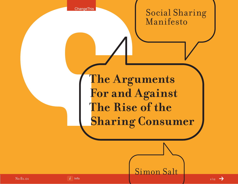**ChangeThis** 

Social Sharing Manifesto

**The Arguments For and Against The Rise of the Sharing Consumer**

Simon Salt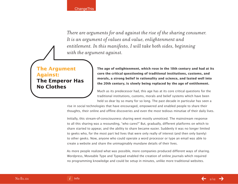*There are arguments for and against the rise of the sharing consumer. It is an argument of values and value, enlightenment and entitlement. In this manifesto, I will take both sides, beginning with the argument against.*

## **The Argument Against: The Emperor Has No Clothes**

**The age of enlightenment, which rose in the 18th century and had at its core the critical questioning of traditional institutions, customs, and morals, a strong belief in rationality and science, and lasted well into the 20th century, is slowly being replaced by the age of entitlement.**

Much as its predecessor had, this age has at its core critical questions for the traditional institutions, customs, morals and belief systems which have been held so dear by so many for so long. The past decade in particular has seen a

rise in social technologies that have encouraged, empowered and enabled people to share their thoughts, their online and offline discoveries and even the most tedious minutiae of their daily lives.

Initially, this stream-of-consciousness sharing went mostly unnoticed. The mainstream response to all this sharing was a resounding, "who cares?" But, gradually, different platforms on which to share started to appear, and the ability to share became easier. Suddenly it was no longer limited to geeks who, for the most part led lives that were only really of interest (and then only barely) to other geeks. Now, anyone who could operate a word processor or type an email was able to create a website and share the unimaginably mundane details of their lives.

As more people realized what was possible, more companies produced different ways of sharing. Wordpress, Moveable Type and Typepad enabled the creation of online journals which required no programming knowledge and could be setup in minutes, unlike more traditional websites.

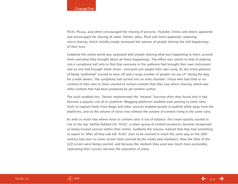Flickr, Picasa, and others encouraged the sharing of pictures. Youtube, Vimeo and others appeared and encouraged the sharing of video. Twitter, Jaiku, Plurk and more appeared, spawning micro-sharing, which initially simply increased the volume of people sharing the dull happenings of their lives.

Suddenly the online world was swamped with people sharing what was happening to them, around them and what they thought about all these happenings. The effect was similar to that of walking into a symphony hall only to find that everyone in the audience had brought their own instrument and no one had brought sheet music—everyone just played their own song. As the initial glamour of being "published" started to wear off and a large number of people ran out of "taking the dog for a walk tweets," the symphony hall turned into an echo chamber. Those who had little or no content of their own to share started to reshare content that they saw others sharing, which was often content that had been produced by yet another author.

The tools enabled this. Twitter implemented the "retweet" function after they found that it had become a popular use of its platform. Blogging platforms enabled auto posting to other sites. Tools to capture feeds from blogs and other sources enabled people to publish while away from the platforms, and so the volume of noise rose without the volume of content rising in the same ratio.

As with so much else where noise to content ratio is out of balance, the cream quickly started to rise to the top. Swiftly dubbed the "A-list", a select group of content producers became recognized as being trusted sources within their niches. Suddenly the masses realized that they had something to aspire to. After all they saw the "A-list" start to be courted in much the same way as the 20th century had seen its silver screen idols courted by the media and marketers. Now the idols of the LCD screen were being courted, and because the medium they used was much more accessible, replicating their success became the aspiration of many.

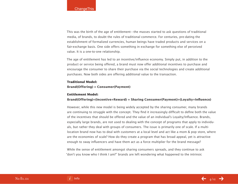This was the birth of the age of entitlement—the masses started to ask questions of traditional media, of brands, to doubt the rules of traditional commerce. For centuries, pre-dating the establishment of formalized currencies, human beings have traded products and services on a fair-exchange basis. One side offers something in exchange for something else of perceived value. It is a one-to-one relationship.

The age of entitlement has led to an incentive/influence economy. Simply put, in addition to the product or service being offered, a brand must now offer additional incentives to purchase and encourage the consumer to share their purchase via the social technologies and create additional purchases. Now both sides are offering additional value to the transaction.

#### **Traditional Model:**

**Brand(Offering) = Consumer(Payment)**

#### **Entitlement Model:**

### **Brand(Offering)+(Incentive+Reward) = Sharing Consumer(Payment)+(Loyalty+Influence)**

However, while this new model is being widely accepted by the sharing consumer, many brands are continuing to struggle with the concept. They find it increasingly difficult to define both the value of the incentives that should be offered and the value of an individual's Loyalty/Influence. Brands, especially large brands, are not used to dealing with the concept of programs that apply to individuals, but rather they deal with groups of consumers. The issue is primarily one of scale. If a multilocation brand now has to deal with customers at a local level and act like a mom & pop store, where are the economies of scale? How do they create a program that has broad appeal, yet is attractive enough to sway influencers and have them act as a force multiplier for the brand message?

While the sense of entitlement amongst sharing consumers spreads, and they continue to ask "don't you know who I think I am?" brands are left wondering what happened to the intrinsic

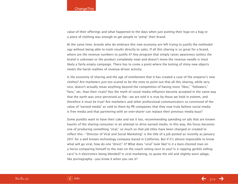value of their offerings and what happened to the days when just putting their logo on a bag or a piece of clothing was enough to get people to "pimp" their brand.

At the same time, brands who do embrace this new economy are left trying to justify the methodology without being able to track results directly to sales. If all this sharing is so great for a brand, where are the revenue numbers to justify it? Any program that simply raises awareness (unless the brand is unknown or the product completely new) and doesn't move the revenue needle is most likely a fairly empty campaign. There has to come a point where the testing of shiny new objects meets the harsh realities of revenue-driven activity.

Is the economy of sharing and the age of entitlement that it has created a case of the emperor's new clothes? Are marketers just too scared to be the ones to point out that all this sharing, while very nice, doesn't actually mean anything beyond the competition of having more "likes," "followers," "fans," etc. than their rivals? Has the myth of social media influence become accepted in the same way that the earth was once perceived as flat—we are told it is true by those we hold in esteem, and therefore it must be true? Are marketers and other professional communicators so convinced of the value of "earned media" as sold to them by PR companies that they now truly believe social media is free media and that partnering with an over-sharer can replace their previous media buys?

Some pundits want to have their cake and eat it too, recommending spending on ads that are known haunts of the sharing consumer in an attempt to drive earned media. In this way, the focus becomes one of producing something "viral," so much so that job titles have been changed or created to reflect this—"Director of Viral and Social Marketing" is the title of a job posted as recently as January 2011 for a well known technology company based in California. But if it's almost impossible to know what will go viral, how do one "direct" it? What does "viral" look like? Is it a bare-chested man on a horse comparing himself to the man on the couch sitting next to you? Is it rapping gerbils selling cars? Is it electronics being blended? Is viral marketing, to quote the old and slightly worn adage, like pornography—you know it when you see it?

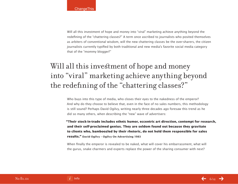Will all this investment of hope and money into "viral" marketing achieve anything beyond the redefining of the "chattering classes?" A term once ascribed to journalists who posited themselves as arbiters of conventional wisdom, will the new chattering classes be the over-sharers, the citizen journalists currently typified by both traditional and new media's favorite social media category that of the "mommy blogger?"

# Will all this investment of hope and money into "viral" marketing achieve anything beyond the redefining of the "chattering classes?"

Who buys into this type of media, who closes their eyes to the nakedness of the emperor? And why do they choose to believe that, even in the face of no sales numbers, this methodology is still sound? Perhaps David Ogilvy, writing nearly three decades ago foresaw this trend as he did so many others, when describing the "new" wave of advertisers:

**"Their stock-in-trade includes ethnic humor, eccentric art direction, contempt for research, and their self-proclaimed genius. They are seldom found out because they gravitate to clients who, bamboozled by their rhetoric, do not hold them responsible for sales results." David Ogilvy – Ogilvy On Advertising 1983**

When finally the emperor is revealed to be naked, what will cover his embarrassment, what will the gurus, snake charmers and experts replace the power of the sharing consumer with next?

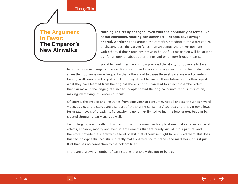**ChangeThis** 

## **The Argument Favor: The Emperor's New Airwalks**

**Nothing has really changed, even with the popularity of terms like social consumer, sharing consumer etc.—people have always shared.** Whether sitting around the campfire, standing at the water cooler, or chatting over the garden fence, human beings share their opinions with others. If those opinions prove to be useful, that person will be sought out for an opinion about other things and on a more frequent basis.

Social technologies have simply provided the ability for opinions to be s hared with a much larger audience. Brands and marketers are recognizing that certain individuals share their opinions more frequently than others and because these sharers are erudite, entertaining, well researched or just shocking, they attract listeners. These listeners will often repeat what they have learned from the original sharer and this can lead to an echo chamber effect that can make it challenging at times for people to find the original source of the information, making identifying influencers difficult.

Of course, the type of sharing varies from consumer to consumer, not all choose the written word; video, audio, and pictures are also part of the sharing consumers' toolbox and this variety allows for greater levels of creativity. Persuasion is no longer limited to just the best orator, but can be created through great visuals as well.

Technology figures greatly in this trend toward the visual with applications that can create special effects, enhance, modify and even insert elements that are purely virtual into a picture, and therefore provide the sharer with a level of skill that otherwise might have eluded them. But does this technology-enhanced sharing really make a difference to brands and marketers, or is it just fluff that has no connection to the bottom line?

There are a growing number of case studies that show this not to be true.

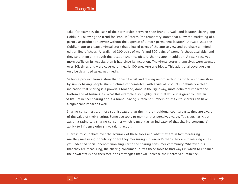Take, for example, the case of the partnership between shoe brand Airwalk and location sharing app GoldRun. Following the trend for "Pop-Up" stores (the temporary stores that allow the marketing of a particular product or service without the expense of a more permanent location), Airwalk used the GoldRun app to create a virtual store that allowed users of the app to view and purchase a limited edition line of shoes. Airwalk had 300 pairs of men's and 300 pairs of women's shoes available, and they sold them all through the location sharing, picture sharing app. In addition, Airwalk received more traffic on its website than it had since its inception. The virtual stores themselves were tweeted over 20k times and were covered on nearly 100 sneaker/style blogs. This additional coverage can only be described as earned media.

Selling a product from a store that doesn't exist and driving record setting traffic to an online store by simply having people share pictures of themselves with a virtual product is definitely a clear indication that sharing is a powerful tool and, done in the right way, most definitely impacts the bottom line of businesses. What this example also highlights is that while it is great to have an "A-list" influencer sharing about a brand, having sufficient numbers of less elite sharers can have a significant impact as well.

Sharing consumers are more sophisticated than their more traditional counterparts, they are aware of the value of their sharing. Some use tools to monitor that perceived value. Tools such as Klout assign a rating to a sharing consumer which is meant as an indicator of that sharing consumers' ability to influence others into taking action.

There is much debate over the accuracy of these tools and what they are in fact measuring. Are they measuring popularity or are they measuring influence? Perhaps they are measuring an as yet undefined social phenomenon singular to the sharing consumer community. Whatever it is that they are measuring, the sharing consumer utilizes these tools to find ways in which to enhance their own status and therefore finds strategies that will increase their perceived influence.

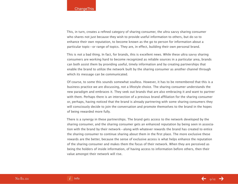This, in turn, creates a refined category of sharing consumer, the ultra savvy sharing consumer who shares not just because they wish to provide useful information to others, but do so to enhance their own reputation, to become known as the go to person for information about a particular topic—or range of topics. They are, in effect, building their own personal brand.

This is not a bad thing. In fact, for brands, this is excellent news. While these ultra savvy sharing consumers are working hard to become recognized as reliable sources in a particular area, brands can both assist them by providing useful, timely information and by creating partnerships that enable the brand to utilize the network built by the sharing consumer as another channel through which its message can be communicated.

Of course, to some this sounds somewhat soulless. However, it has to be remembered that this is a business practice we are discussing, not a lifestyle choice. The sharing consumer understands the new paradigm and embraces it. They seek out brands that are also embracing it and want to partner with them. Perhaps there is an intersection of a previous brand affiliation for the sharing consumer or, perhaps, having noticed that the brand is already partnering with some sharing consumers they will consciously decide to join the conversation and promote themselves to the brand in the hopes of being rewarded more fully.

There is a synergy in these partnerships. The brand gets access to the network developed by the sharing consumer, and the sharing consumer gets an enhanced reputation by being seen in association with the brand by their network—along with whatever rewards the brand has created to entice the sharing consumer to continue sharing about them in the first place. The more exclusive these rewards are the better, because the sense of exclusive access is what helps enhance the reputation of the sharing consumer and makes them the focus of their network. When they are perceived as being the holders of inside information, of having access to information before others, then their value amongst their network will rise.

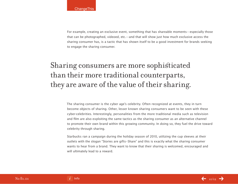For example, creating an exclusive event, something that has shareable moments—especially those that can be photographed, videoed, etc.—and that will show just how much exclusive access the sharing consumer has, is a tactic that has shown itself to be a good investment for brands seeking to engage the sharing consumer.

# Sharing consumers are more sophisticated than their more traditional counterparts, they are aware of the value of their sharing.

The sharing consumer is the cyber age's celebrity. Often recognized at events, they in turn become objects of sharing. Other, lesser known sharing consumers want to be seen with these cyber-celebrities. Interestingly, personalities from the more traditional media such as television and film are also exploiting the same tactics as the sharing consumer as an alternative channel to promote their own brand within this growing community. In doing so, they fuel the drive toward celebrity through sharing.

Starbucks ran a campaign during the holiday season of 2010, utilizing the cup sleeves at their outlets with the slogan "Stories are gifts–Share" and this is exactly what the sharing consumer wants to hear from a brand. They want to know that their sharing is welcomed, encouraged and will ultimately lead to a reward.

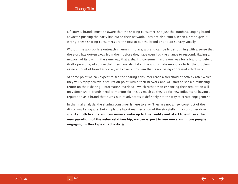Of course, brands must be aware that the sharing consumer isn't just the kumbaya singing brand advocate pushing the party line out to their network. They are also critics. When a brand gets it wrong, these sharing consumers are the first to out the brand and to do so very vocally.

Without the appropriate outreach channels in place, a brand can be left struggling with a sense that the story has gotten away from them before they have even had the chance to respond. Having a network of its own, in the same way that a sharing consumer has, is one way for a brand to defend itself - providing of course that they have also taken the appropriate measures to fix the problem, as no amount of brand advocacy will cover a problem that is not being addressed effectively.

At some point we can expect to see the sharing consumer reach a threshold of activity after which they will simply achieve a saturation point within their network and will start to see a diminishing return on their sharing—information overload—which rather than enhancing their reputation will only diminish it. Brands need to monitor for this as much as they do for new influencers; having a reputation as a brand that burns out its advocates is definitely not the way to create engagement.

In the final analysis, the sharing consumer is here to stay. They are not a new construct of the digital marketing age, but simply the latest manifestation of the storyteller in a consumer driven age. **As both brands and consumers wake up to this reality and start to embrace the new paradigm of the sales relationship, we can expect to see more and more people engaging in this type of activity.**